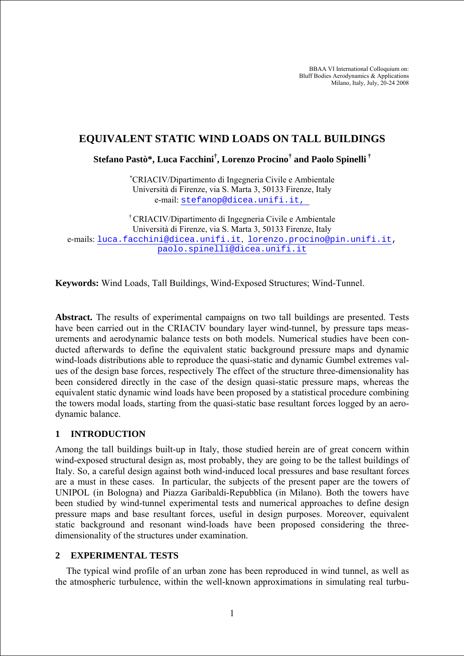BBAA VI International Colloquium on: Bluff Bodies Aerodynamics & Applications Milano, Italy, July, 20-24 2008

## **EQUIVALENT STATIC WIND LOADS ON TALL BUILDINGS**

**Stefano Pastò\*, Luca Facchini† , Lorenzo Procino† and Paolo Spinelli †**

∗ CRIACIV/Dipartimento di Ingegneria Civile e Ambientale Università di Firenze, via S. Marta 3, 50133 Firenze, Italy e-mail: stefanop@dicea.unifi.it,

† CRIACIV/Dipartimento di Ingegneria Civile e Ambientale Università di Firenze, via S. Marta 3, 50133 Firenze, Italy e-mails: [luca.facchini@dicea.unifi.it](mailto:luca.facchini@dicea.unifi.it), [lorenzo.procino@pin.unifi.it](mailto:lorenzo.procino@pin.unifi.it), paolo.spinelli@dicea.unifi.it

**Keywords:** Wind Loads, Tall Buildings, Wind-Exposed Structures; Wind-Tunnel.

**Abstract.** The results of experimental campaigns on two tall buildings are presented. Tests have been carried out in the CRIACIV boundary layer wind-tunnel, by pressure taps measurements and aerodynamic balance tests on both models. Numerical studies have been conducted afterwards to define the equivalent static background pressure maps and dynamic wind-loads distributions able to reproduce the quasi-static and dynamic Gumbel extremes values of the design base forces, respectively The effect of the structure three-dimensionality has been considered directly in the case of the design quasi-static pressure maps, whereas the equivalent static dynamic wind loads have been proposed by a statistical procedure combining the towers modal loads, starting from the quasi-static base resultant forces logged by an aerodynamic balance.

## **1 INTRODUCTION**

Among the tall buildings built-up in Italy, those studied herein are of great concern within wind-exposed structural design as, most probably, they are going to be the tallest buildings of Italy. So, a careful design against both wind-induced local pressures and base resultant forces are a must in these cases. In particular, the subjects of the present paper are the towers of UNIPOL (in Bologna) and Piazza Garibaldi-Repubblica (in Milano). Both the towers have been studied by wind-tunnel experimental tests and numerical approaches to define design pressure maps and base resultant forces, useful in design purposes. Moreover, equivalent static background and resonant wind-loads have been proposed considering the threedimensionality of the structures under examination.

## **2 EXPERIMENTAL TESTS**

The typical wind profile of an urban zone has been reproduced in wind tunnel, as well as the atmospheric turbulence, within the well-known approximations in simulating real turbu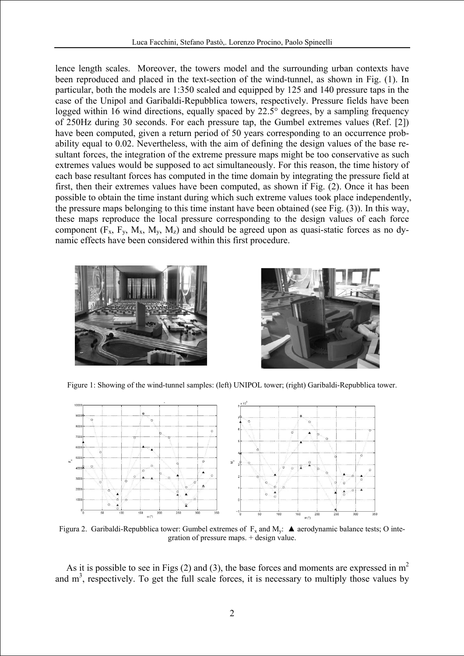lence length scales. Moreover, the towers model and the surrounding urban contexts have been reproduced and placed in the text-section of the wind-tunnel, as shown in Fig. (1). In particular, both the models are 1:350 scaled and equipped by 125 and 140 pressure taps in the case of the Unipol and Garibaldi-Repubblica towers, respectively. Pressure fields have been logged within 16 wind directions, equally spaced by 22.5° degrees, by a sampling frequency of 250Hz during 30 seconds. For each pressure tap, the Gumbel extremes values (Ref. [2]) have been computed, given a return period of 50 years corresponding to an occurrence probability equal to 0.02. Nevertheless, with the aim of defining the design values of the base resultant forces, the integration of the extreme pressure maps might be too conservative as such extremes values would be supposed to act simultaneously. For this reason, the time history of each base resultant forces has computed in the time domain by integrating the pressure field at first, then their extremes values have been computed, as shown if Fig. (2). Once it has been possible to obtain the time instant during which such extreme values took place independently, the pressure maps belonging to this time instant have been obtained (see Fig. (3)). In this way, these maps reproduce the local pressure corresponding to the design values of each force component  $(F_x, F_y, M_x, M_y, M_z)$  and should be agreed upon as quasi-static forces as no dynamic effects have been considered within this first procedure.





Figure 1: Showing of the wind-tunnel samples: (left) UNIPOL tower; (right) Garibaldi-Repubblica tower.



Figura 2. Garibaldi-Repubblica tower: Gumbel extremes of  $F_x$  and  $M_y$ :  $\blacktriangle$  aerodynamic balance tests; O integration of pressure maps. + design value.

As it is possible to see in Figs (2) and (3), the base forces and moments are expressed in  $m<sup>2</sup>$ and  $m<sup>3</sup>$ , respectively. To get the full scale forces, it is necessary to multiply those values by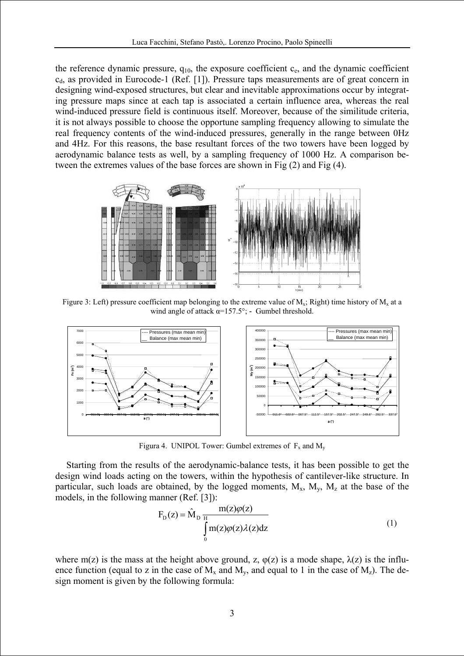the reference dynamic pressure,  $q_{10}$ , the exposure coefficient  $c_{e}$ , and the dynamic coefficient  $c<sub>d</sub>$ , as provided in Eurocode-1 (Ref. [1]). Pressure taps measurements are of great concern in designing wind-exposed structures, but clear and inevitable approximations occur by integrating pressure maps since at each tap is associated a certain influence area, whereas the real wind-induced pressure field is continuous itself. Moreover, because of the similitude criteria, it is not always possible to choose the opportune sampling frequency allowing to simulate the real frequency contents of the wind-induced pressures, generally in the range between 0Hz and 4Hz. For this reasons, the base resultant forces of the two towers have been logged by aerodynamic balance tests as well, by a sampling frequency of 1000 Hz. A comparison between the extremes values of the base forces are shown in Fig (2) and Fig (4).



Figure 3: Left) pressure coefficient map belonging to the extreme value of  $M_x$ ; Right) time history of  $M_x$  at a wind angle of attack α=157.5°; **-** Gumbel threshold.



Figura 4. UNIPOL Tower: Gumbel extremes of  $F_x$  and  $M_y$ 

particular, such loads are obtained, by the logged moments,  $M_x$ ,  $M_y$ ,  $M_z$  at the base of the models, in the following manner (Ref. [3]): Starting from the results of the aerodynamic-balance tests, it has been possible to get the design wind loads acting on the towers, within the hypothesis of cantilever-like structure. In

$$
F_{D}(z) = \hat{M}_{D} \frac{m(z)\varphi(z)}{\int_{0}^{H} m(z)\varphi(z)\lambda(z)dz}
$$
 (1)

ence function (equal to z in the case of  $M_x$  and  $M_y$ , and equal to 1 in the case of  $M_z$ ). The design moment is given by the following formula: where m(z) is the mass at the height above ground, z,  $\varphi(z)$  is a mode shape,  $\lambda(z)$  is the influ-